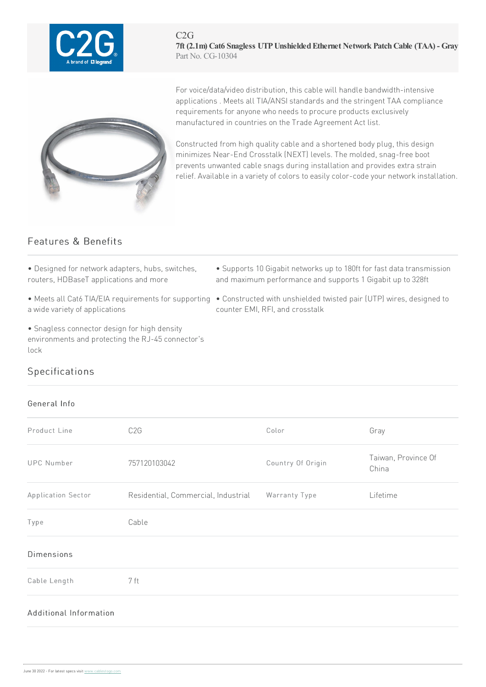

C2G **7ft (2.1m) Cat6 Snagless UTPUnshieldedEthernet Network PatchCable (TAA) - Gray** Part No. CG-10304



For voice/data/video distribution, this cable will handle bandwidth-intensive applications . Meets all TIA/ANSI standards and the stringent TAA compliance requirements for anyone who needs to procure products exclusively manufactured in countries on the Trade Agreement Act list.

Constructed from high quality cable and a shortened body plug, this design minimizes Near-End Crosstalk (NEXT) levels. The molded, snag-free boot prevents unwanted cable snags during installation and provides extra strain relief. Available in a variety of colors to easily color-code your network installation.

## Features & Benefits

- Designed for network adapters, hubs, switches, routers, HDBaseT applications and more
- a wide variety of applications
- Snagless connector design for high density environments and protecting the RJ-45 connector's lock
- Supports 10 Gigabit networks up to 180ft for fast data transmission and maximum performance and supports 1 Gigabit up to 328ft
- Meets all Cat6 TIA/EIA requirements for supporting Constructed with unshielded twisted pair (UTP) wires, designed to counter EMI, RFI, and crosstalk

## Specifications

## General Info

| Product Line           | C <sub>2</sub> G                                  | Color             | Gray                         |
|------------------------|---------------------------------------------------|-------------------|------------------------------|
| <b>UPC Number</b>      | 757120103042                                      | Country Of Origin | Taiwan, Province Of<br>China |
| Application Sector     | Residential, Commercial, Industrial Warranty Type |                   | Lifetime                     |
| Type                   | Cable                                             |                   |                              |
| <b>Dimensions</b>      |                                                   |                   |                              |
| Cable Length           | 7 ft                                              |                   |                              |
| Additional Information |                                                   |                   |                              |